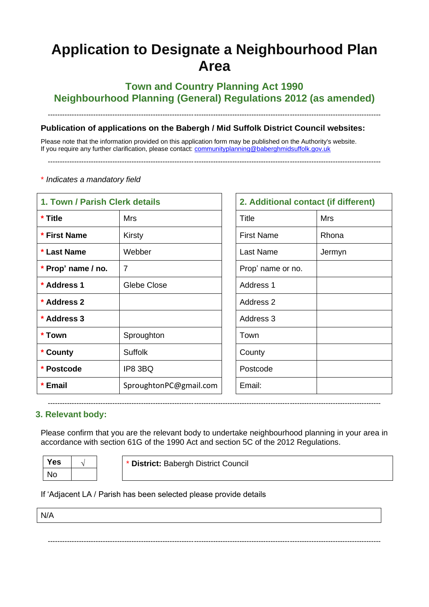# **Application to Designate a Neighbourhood Plan Area**

# **Town and Country Planning Act 1990 Neighbourhood Planning (General) Regulations 2012 (as amended)**

-------------------------------------------------------------------------------------------------------------------------------------------

**Publication of applications on the Babergh / Mid Suffolk District Council websites:** 

Please note that the information provided on this application form may be published on the Authority's website. If you require any further clarification, please contact: [communityplanning@baberghmidsuffolk.gov.uk](mailto:communityplanning@baberghmidsuffolk.gov.uk)

-------------------------------------------------------------------------------------------------------------------------------------------

| 1. Town / Parish Clerk details |                        | 2. Additional contact (if different) |            |
|--------------------------------|------------------------|--------------------------------------|------------|
| * Title                        | Mrs                    | <b>Title</b>                         | <b>Mrs</b> |
| * First Name                   | Kirsty                 | <b>First Name</b>                    | Rhona      |
| * Last Name                    | Webber                 | Last Name                            | Jermyn     |
| * Prop' name / no.             | $\overline{7}$         | Prop' name or no.                    |            |
| * Address 1                    | Glebe Close            | Address 1                            |            |
| * Address 2                    |                        | Address 2                            |            |
| * Address 3                    |                        | Address 3                            |            |
| * Town                         | Sproughton             | Town                                 |            |
| * County                       | <b>Suffolk</b>         | County                               |            |
| * Postcode                     | IP8 3BQ                | Postcode                             |            |
| * Email                        | SproughtonPC@gmail.com | Email:                               |            |

|  |  |  | * Indicates a mandatory field |  |
|--|--|--|-------------------------------|--|
|--|--|--|-------------------------------|--|

| 2. Additional contact (if different) |            |  |
|--------------------------------------|------------|--|
| <b>Title</b>                         | <b>Mrs</b> |  |
| <b>First Name</b>                    | Rhona      |  |
| <b>Last Name</b>                     | Jermyn     |  |
| Prop' name or no.                    |            |  |
| <b>Address 1</b>                     |            |  |
| Address 2                            |            |  |
| Address 3                            |            |  |
| Town                                 |            |  |
| County                               |            |  |
| Postcode                             |            |  |
| Email:                               |            |  |

## **3. Relevant body:**

Please confirm that you are the relevant body to undertake neighbourhood planning in your area in accordance with section 61G of the 1990 Act and section 5C of the 2012 Regulations.

-------------------------------------------------------------------------------------------------------------------------------------------

| <b>Yes</b> | * District: Babergh District Council |
|------------|--------------------------------------|
| .Nc        |                                      |

-------------------------------------------------------------------------------------------------------------------------------------------

#### If 'Adjacent LA / Parish has been selected please provide details

N/A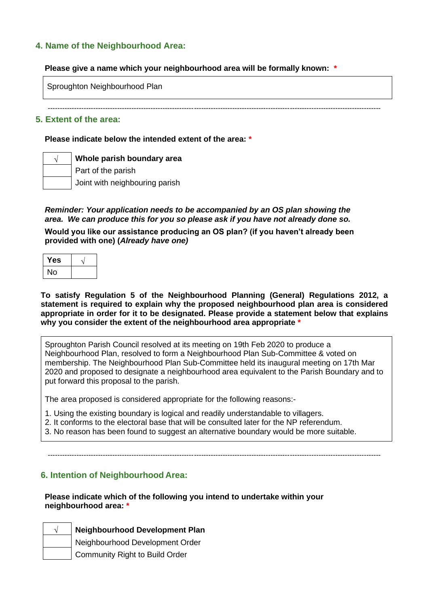## **4. Name of the Neighbourhood Area:**

#### **Please give a name which your neighbourhood area will be formally known: \***

Sproughton Neighbourhood Plan

-------------------------------------------------------------------------------------------------------------------------------------------

#### **5. Extent of the area:**

#### **Please indicate below the intended extent of the area: \***

**√ Whole parish boundary area**

Part of the parish

Joint with neighbouring parish

*Reminder: Your application needs to be accompanied by an OS plan showing the area. We can produce this for you so please ask if you have not already done so.*

**Would you like our assistance producing an OS plan? (if you haven't already been provided with one) (***Already have one)*

| Yes |  |
|-----|--|
| No  |  |

**To satisfy Regulation 5 of the Neighbourhood Planning (General) Regulations 2012, a statement is required to explain why the proposed neighbourhood plan area is considered appropriate in order for it to be designated. Please provide a statement below that explains why you consider the extent of the neighbourhood area appropriate \***

Sproughton Parish Council resolved at its meeting on 19th Feb 2020 to produce a Neighbourhood Plan, resolved to form a Neighbourhood Plan Sub-Committee & voted on membership. The Neighbourhood Plan Sub-Committee held its inaugural meeting on 17th Mar 2020 and proposed to designate a neighbourhood area equivalent to the Parish Boundary and to put forward this proposal to the parish.

The area proposed is considered appropriate for the following reasons:-

- 1. Using the existing boundary is logical and readily understandable to villagers.
- 2. It conforms to the electoral base that will be consulted later for the NP referendum.
- 3. No reason has been found to suggest an alternative boundary would be more suitable.

-------------------------------------------------------------------------------------------------------------------------------------------

## **6. Intention of Neighbourhood Area:**

#### **Please indicate which of the following you intend to undertake within your neighbourhood area: \***

## **√ Neighbourhood Development Plan**

Neighbourhood Development Order

Community Right to Build Order